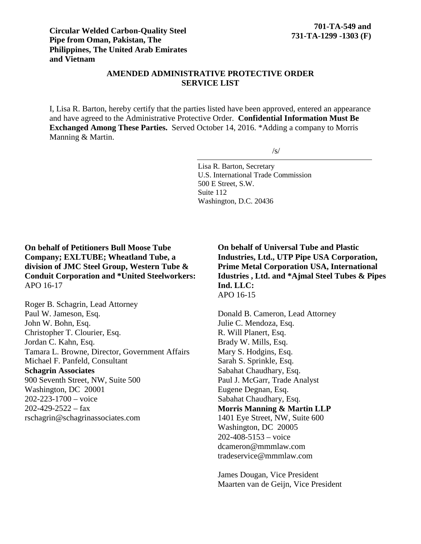### **AMENDED ADMINISTRATIVE PROTECTIVE ORDER SERVICE LIST**

I, Lisa R. Barton, hereby certify that the parties listed have been approved, entered an appearance and have agreed to the Administrative Protective Order. **Confidential Information Must Be Exchanged Among These Parties.** Served October 14, 2016. \*Adding a company to Morris Manning & Martin.

 $/s/$ 

Lisa R. Barton, Secretary U.S. International Trade Commission 500 E Street, S.W. Suite 112 Washington, D.C. 20436

**On behalf of Petitioners Bull Moose Tube Company; EXLTUBE; Wheatland Tube, a division of JMC Steel Group, Western Tube & Conduit Corporation and \*United Steelworkers:** APO 16-17

Roger B. Schagrin, Lead Attorney Paul W. Jameson, Esq. John W. Bohn, Esq. Christopher T. Clourier, Esq. Jordan C. Kahn, Esq. Tamara L. Browne, Director, Government Affairs Michael F. Panfeld, Consultant **Schagrin Associates** 900 Seventh Street, NW, Suite 500 Washington, DC 20001 202-223-1700 – voice  $202 - 429 - 2522 - fax$ rschagrin@schagrinassociates.com

**On behalf of Universal Tube and Plastic Industries, Ltd., UTP Pipe USA Corporation, Prime Metal Corporation USA, International Idustries , Ltd. and \*Ajmal Steel Tubes & Pipes Ind. LLC:** APO 16-15

Donald B. Cameron, Lead Attorney Julie C. Mendoza, Esq. R. Will Planert, Esq. Brady W. Mills, Esq. Mary S. Hodgins, Esq. Sarah S. Sprinkle, Esq. Sabahat Chaudhary, Esq. Paul J. McGarr, Trade Analyst Eugene Degnan, Esq. Sabahat Chaudhary, Esq. **Morris Manning & Martin LLP** 1401 Eye Street, NW, Suite 600 Washington, DC 20005  $202 - 408 - 5153 - \text{voice}$ dcameron@mmmlaw.com tradeservice@mmmlaw.com

James Dougan, Vice President Maarten van de Geijn, Vice President